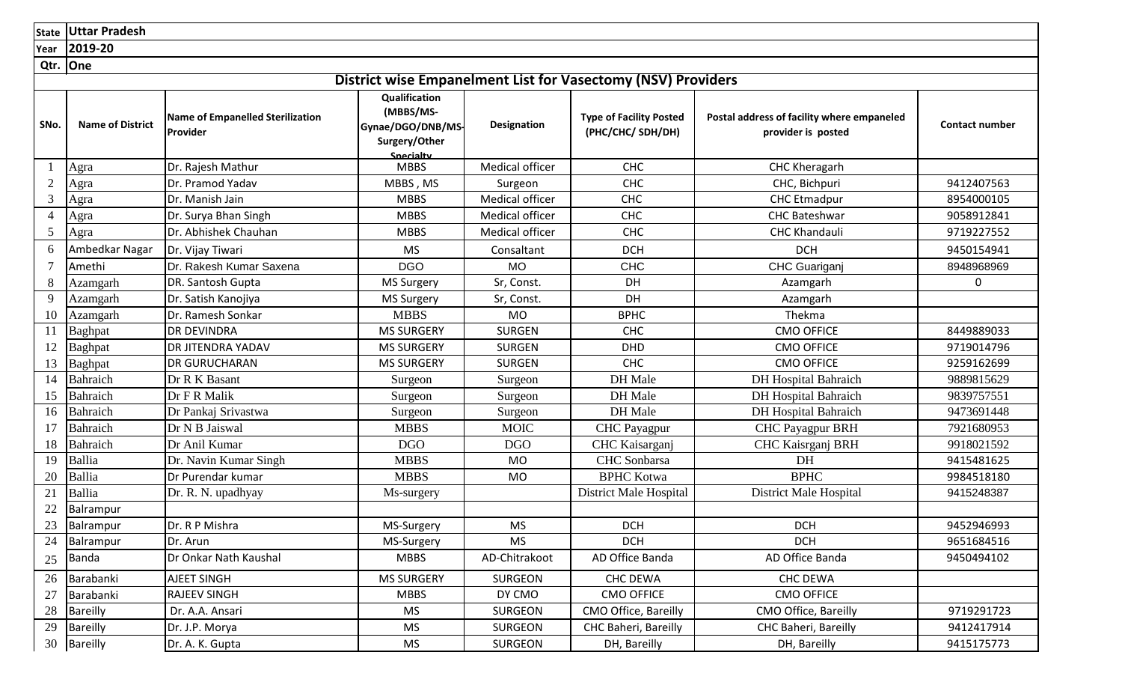**State Uttar Pradesh**

**Year 2019-20**

**Qtr. One**

|  |  |  | <b>District wise Empanelment List for Vasectomy (NSV) Providers</b> |  |
|--|--|--|---------------------------------------------------------------------|--|

| SNo.           | <b>Name of District</b> | <b>Name of Empanelled Sterilization</b><br>Provider | Qualification<br>(MBBS/MS-<br>Gynae/DGO/DNB/MS-<br>Surgery/Other | Designation     | <b>PISHICL WISC EMPUMEMMENT EIST IST VASCELSING (1994) I TOVIQUIS</b><br><b>Type of Facility Posted</b><br>(PHC/CHC/SDH/DH) | Postal address of facility where empaneled<br>provider is posted | <b>Contact number</b> |
|----------------|-------------------------|-----------------------------------------------------|------------------------------------------------------------------|-----------------|-----------------------------------------------------------------------------------------------------------------------------|------------------------------------------------------------------|-----------------------|
|                |                         |                                                     | Snecialty                                                        |                 |                                                                                                                             |                                                                  |                       |
|                | Agra                    | Dr. Rajesh Mathur                                   | <b>MBBS</b>                                                      | Medical officer | <b>CHC</b>                                                                                                                  | CHC Kheragarh                                                    |                       |
| $\overline{2}$ | Agra                    | Dr. Pramod Yadav                                    | MBBS, MS                                                         | Surgeon         | CHC                                                                                                                         | CHC, Bichpuri                                                    | 9412407563            |
| 3              | Agra                    | Dr. Manish Jain                                     | <b>MBBS</b>                                                      | Medical officer | <b>CHC</b>                                                                                                                  | <b>CHC Etmadpur</b>                                              | 8954000105            |
| 4              | Agra                    | Dr. Surya Bhan Singh                                | <b>MBBS</b>                                                      | Medical officer | <b>CHC</b>                                                                                                                  | <b>CHC Bateshwar</b>                                             | 9058912841            |
| 5              | Agra                    | Dr. Abhishek Chauhan                                | <b>MBBS</b>                                                      | Medical officer | <b>CHC</b>                                                                                                                  | <b>CHC Khandauli</b>                                             | 9719227552            |
| 6              | Ambedkar Nagar          | Dr. Vijay Tiwari                                    | <b>MS</b>                                                        | Consaltant      | <b>DCH</b>                                                                                                                  | <b>DCH</b>                                                       | 9450154941            |
|                | Amethi                  | Dr. Rakesh Kumar Saxena                             | <b>DGO</b>                                                       | <b>MO</b>       | <b>CHC</b>                                                                                                                  | CHC Guariganj                                                    | 8948968969            |
| 8              | <b>Azamgarh</b>         | DR. Santosh Gupta                                   | <b>MS Surgery</b>                                                | Sr, Const.      | DH                                                                                                                          | Azamgarh                                                         | $\mathbf 0$           |
| 9              | Azamgarh                | Dr. Satish Kanojiya                                 | <b>MS Surgery</b>                                                | Sr, Const.      | DH                                                                                                                          | Azamgarh                                                         |                       |
| 10             | Azamgarh                | Dr. Ramesh Sonkar                                   | <b>MBBS</b>                                                      | <b>MO</b>       | <b>BPHC</b>                                                                                                                 | Thekma                                                           |                       |
| 11             | Baghpat                 | <b>DR DEVINDRA</b>                                  | <b>MS SURGERY</b>                                                | <b>SURGEN</b>   | <b>CHC</b>                                                                                                                  | <b>CMO OFFICE</b>                                                | 8449889033            |
| 12             | Baghpat                 | <b>DR JITENDRA YADAV</b>                            | <b>MS SURGERY</b>                                                | <b>SURGEN</b>   | <b>DHD</b>                                                                                                                  | <b>CMO OFFICE</b>                                                | 9719014796            |
| 13             | Baghpat                 | <b>DR GURUCHARAN</b>                                | <b>MS SURGERY</b>                                                | <b>SURGEN</b>   | <b>CHC</b>                                                                                                                  | <b>CMO OFFICE</b>                                                | 9259162699            |
| 14             | Bahraich                | Dr R K Basant                                       | Surgeon                                                          | Surgeon         | DH Male                                                                                                                     | <b>DH</b> Hospital Bahraich                                      | 9889815629            |
| 15             | Bahraich                | Dr F R Malik                                        | Surgeon                                                          | Surgeon         | DH Male                                                                                                                     | <b>DH</b> Hospital Bahraich                                      | 9839757551            |
| 16             | Bahraich                | Dr Pankaj Srivastwa                                 | Surgeon                                                          | Surgeon         | DH Male                                                                                                                     | <b>DH</b> Hospital Bahraich                                      | 9473691448            |
| 17             | Bahraich                | Dr N B Jaiswal                                      | <b>MBBS</b>                                                      | <b>MOIC</b>     | <b>CHC</b> Payagpur                                                                                                         | <b>CHC Payagpur BRH</b>                                          | 7921680953            |
| 18             | Bahraich                | Dr Anil Kumar                                       | <b>DGO</b>                                                       | <b>DGO</b>      | CHC Kaisarganj                                                                                                              | CHC Kaisrganj BRH                                                | 9918021592            |
| 19             | Ballia                  | Dr. Navin Kumar Singh                               | <b>MBBS</b>                                                      | <b>MO</b>       | <b>CHC</b> Sonbarsa                                                                                                         | DH                                                               | 9415481625            |
| 20             | Ballia                  | Dr Purendar kumar                                   | <b>MBBS</b>                                                      | <b>MO</b>       | <b>BPHC Kotwa</b>                                                                                                           | <b>BPHC</b>                                                      | 9984518180            |
| 21             | <b>Ballia</b>           | Dr. R. N. upadhyay                                  | Ms-surgery                                                       |                 | District Male Hospital                                                                                                      | District Male Hospital                                           | 9415248387            |
| 22             | Balrampur               |                                                     |                                                                  |                 |                                                                                                                             |                                                                  |                       |
| 23             | Balrampur               | Dr. R P Mishra                                      | MS-Surgery                                                       | <b>MS</b>       | <b>DCH</b>                                                                                                                  | <b>DCH</b>                                                       | 9452946993            |
| 24             | Balrampur               | Dr. Arun                                            | MS-Surgery                                                       | <b>MS</b>       | <b>DCH</b>                                                                                                                  | <b>DCH</b>                                                       | 9651684516            |
| 25             | <b>Banda</b>            | Dr Onkar Nath Kaushal                               | <b>MBBS</b>                                                      | AD-Chitrakoot   | AD Office Banda                                                                                                             | AD Office Banda                                                  | 9450494102            |
| 26             | Barabanki               | AJEET SINGH                                         | <b>MS SURGERY</b>                                                | <b>SURGEON</b>  | <b>CHC DEWA</b>                                                                                                             | <b>CHC DEWA</b>                                                  |                       |
| 27             | Barabanki               | <b>RAJEEV SINGH</b>                                 | <b>MBBS</b>                                                      | DY CMO          | <b>CMO OFFICE</b>                                                                                                           | <b>CMO OFFICE</b>                                                |                       |
| 28             | Bareilly                | Dr. A.A. Ansari                                     | <b>MS</b>                                                        | <b>SURGEON</b>  | CMO Office, Bareilly                                                                                                        | CMO Office, Bareilly                                             | 9719291723            |
| 29             | <b>Bareilly</b>         | Dr. J.P. Morya                                      | <b>MS</b>                                                        | <b>SURGEON</b>  | CHC Baheri, Bareilly                                                                                                        | CHC Baheri, Bareilly                                             | 9412417914            |
| 30             | Bareilly                | Dr. A. K. Gupta                                     | <b>MS</b>                                                        | SURGEON         | DH, Bareilly                                                                                                                | DH, Bareilly                                                     | 9415175773            |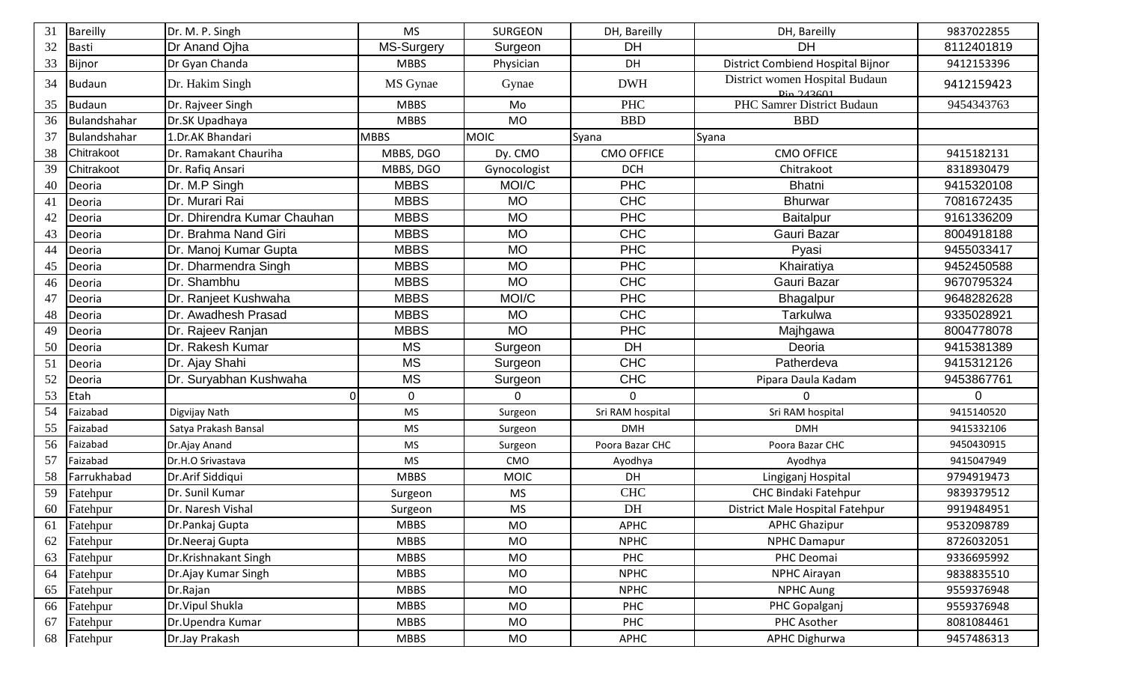| 31 | <b>Bareilly</b> | Dr. M. P. Singh             | <b>MS</b>   | <b>SURGEON</b> | DH, Bareilly      | DH, Bareilly                                                     | 9837022855 |
|----|-----------------|-----------------------------|-------------|----------------|-------------------|------------------------------------------------------------------|------------|
| 32 | <b>Basti</b>    | Dr Anand Ojha               | MS-Surgery  | Surgeon        | <b>DH</b>         | <b>DH</b>                                                        | 8112401819 |
| 33 | Bijnor          | Dr Gyan Chanda              | <b>MBBS</b> | Physician      | DH                | District Combiend Hospital Bijnor                                | 9412153396 |
| 34 | Budaun          | Dr. Hakim Singh             | MS Gynae    | Gynae          | <b>DWH</b>        | District women Hospital Budaun<br>$\frac{D_{10} 243601}{243601}$ | 9412159423 |
| 35 | Budaun          | Dr. Rajveer Singh           | <b>MBBS</b> | Mo             | <b>PHC</b>        | PHC Samrer District Budaun                                       | 9454343763 |
| 36 | Bulandshahar    | Dr.SK Upadhaya              | <b>MBBS</b> | <b>MO</b>      | <b>BBD</b>        | <b>BBD</b>                                                       |            |
| 37 | Bulandshahar    | 1.Dr.AK Bhandari            | <b>MBBS</b> | <b>MOIC</b>    | Syana             | Syana                                                            |            |
| 38 | Chitrakoot      | Dr. Ramakant Chauriha       | MBBS, DGO   | Dy. CMO        | <b>CMO OFFICE</b> | <b>CMO OFFICE</b>                                                | 9415182131 |
| 39 | Chitrakoot      | Dr. Rafiq Ansari            | MBBS, DGO   | Gynocologist   | <b>DCH</b>        | Chitrakoot                                                       | 8318930479 |
| 40 | Deoria          | Dr. M.P Singh               | <b>MBBS</b> | MOI/C          | <b>PHC</b>        | <b>Bhatni</b>                                                    | 9415320108 |
| 41 | Deoria          | Dr. Murari Rai              | <b>MBBS</b> | <b>MO</b>      | <b>CHC</b>        | <b>Bhurwar</b>                                                   | 7081672435 |
| 42 | Deoria          | Dr. Dhirendra Kumar Chauhan | <b>MBBS</b> | <b>MO</b>      | <b>PHC</b>        | <b>Baitalpur</b>                                                 | 9161336209 |
| 43 | Deoria          | Dr. Brahma Nand Giri        | <b>MBBS</b> | <b>MO</b>      | <b>CHC</b>        | Gauri Bazar                                                      | 8004918188 |
| 44 | Deoria          | Dr. Manoj Kumar Gupta       | <b>MBBS</b> | <b>MO</b>      | <b>PHC</b>        | Pyasi                                                            | 9455033417 |
| 45 | Deoria          | Dr. Dharmendra Singh        | <b>MBBS</b> | <b>MO</b>      | <b>PHC</b>        | Khairatiya                                                       | 9452450588 |
| 46 | Deoria          | Dr. Shambhu                 | <b>MBBS</b> | <b>MO</b>      | <b>CHC</b>        | Gauri Bazar                                                      | 9670795324 |
| 47 | Deoria          | Dr. Ranjeet Kushwaha        | <b>MBBS</b> | MOI/C          | <b>PHC</b>        | <b>Bhagalpur</b>                                                 | 9648282628 |
| 48 | Deoria          | Dr. Awadhesh Prasad         | <b>MBBS</b> | <b>MO</b>      | <b>CHC</b>        | Tarkulwa                                                         | 9335028921 |
| 49 | Deoria          | Dr. Rajeev Ranjan           | <b>MBBS</b> | <b>MO</b>      | <b>PHC</b>        | Majhgawa                                                         | 8004778078 |
| 50 | Deoria          | Dr. Rakesh Kumar            | <b>MS</b>   | Surgeon        | DH                | Deoria                                                           | 9415381389 |
| 51 | Deoria          | Dr. Ajay Shahi              | <b>MS</b>   | Surgeon        | <b>CHC</b>        | Patherdeva                                                       | 9415312126 |
| 52 | Deoria          | Dr. Suryabhan Kushwaha      | <b>MS</b>   | Surgeon        | <b>CHC</b>        | Pipara Daula Kadam                                               | 9453867761 |
| 53 | Etah            | 0                           | 0           | $\Omega$       | $\mathbf 0$       | $\mathbf 0$                                                      | 0          |
| 54 | Faizabad        | Digvijay Nath               | <b>MS</b>   | Surgeon        | Sri RAM hospital  | Sri RAM hospital                                                 | 9415140520 |
| 55 | Faizabad        | Satya Prakash Bansal        | <b>MS</b>   | Surgeon        | <b>DMH</b>        | <b>DMH</b>                                                       | 9415332106 |
| 56 | Faizabad        | Dr.Ajay Anand               | <b>MS</b>   | Surgeon        | Poora Bazar CHC   | Poora Bazar CHC                                                  | 9450430915 |
| 57 | Faizabad        | Dr.H.O Srivastava           | <b>MS</b>   | CMO            | Ayodhya           | Ayodhya                                                          | 9415047949 |
| 58 | Farrukhabad     | Dr.Arif Siddiqui            | <b>MBBS</b> | <b>MOIC</b>    | DH                | Lingiganj Hospital                                               | 9794919473 |
| 59 | Fatehpur        | Dr. Sunil Kumar             | Surgeon     | <b>MS</b>      | <b>CHC</b>        | <b>CHC Bindaki Fatehpur</b>                                      | 9839379512 |
| 60 | Fatehpur        | Dr. Naresh Vishal           | Surgeon     | <b>MS</b>      | DH                | District Male Hospital Fatehpur                                  | 9919484951 |
| 61 | Fatehpur        | Dr.Pankaj Gupta             | <b>MBBS</b> | MO.            | APHC              | <b>APHC Ghazipur</b>                                             | 9532098789 |
| 62 | Fatehpur        | Dr.Neeraj Gupta             | <b>MBBS</b> | <b>MO</b>      | <b>NPHC</b>       | <b>NPHC Damapur</b>                                              | 8726032051 |
| 63 | Fatehpur        | Dr.Krishnakant Singh        | <b>MBBS</b> | <b>MO</b>      | PHC               | PHC Deomai                                                       | 9336695992 |
| 64 | Fatehpur        | Dr.Ajay Kumar Singh         | <b>MBBS</b> | <b>MO</b>      | <b>NPHC</b>       | <b>NPHC Airayan</b>                                              | 9838835510 |
| 65 | Fatehpur        | Dr.Rajan                    | <b>MBBS</b> | <b>MO</b>      | <b>NPHC</b>       | <b>NPHC Aung</b>                                                 | 9559376948 |
| 66 | Fatehpur        | Dr. Vipul Shukla            | <b>MBBS</b> | <b>MO</b>      | PHC               | PHC Gopalganj                                                    | 9559376948 |
| 67 | Fatehpur        | Dr.Upendra Kumar            | <b>MBBS</b> | <b>MO</b>      | PHC               | PHC Asother                                                      | 8081084461 |
| 68 | Fatehpur        | Dr.Jay Prakash              | <b>MBBS</b> | MO             | APHC              | <b>APHC Dighurwa</b>                                             | 9457486313 |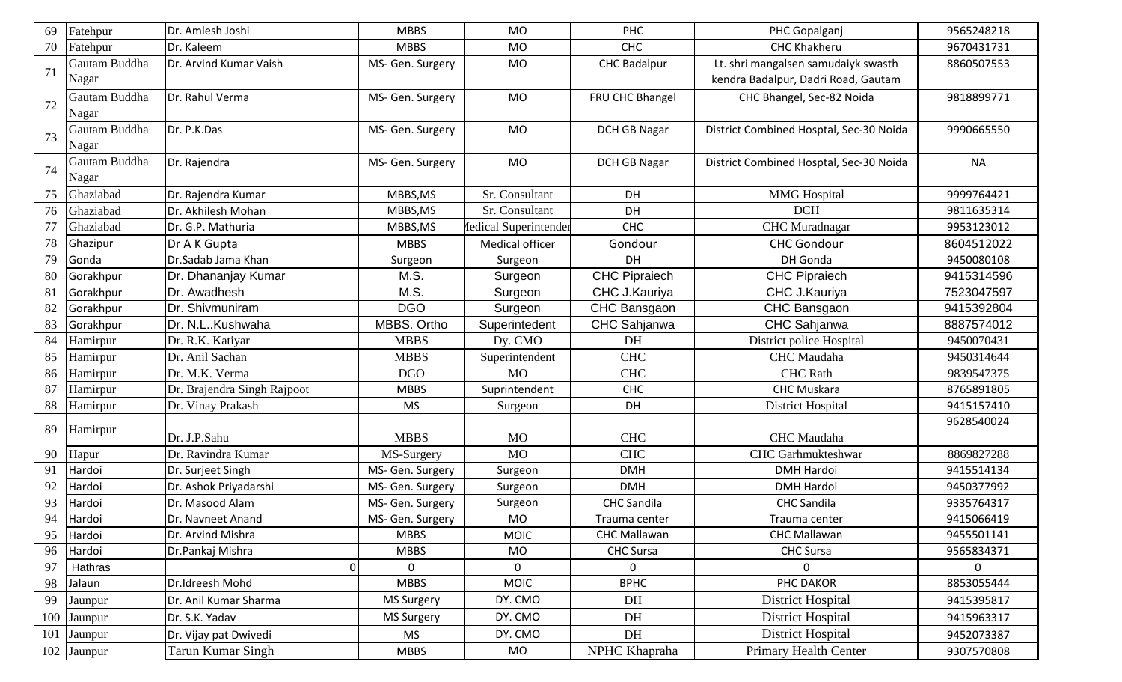| 69 | Fatehpur      | Dr. Amlesh Joshi            | <b>MBBS</b>       | <b>MO</b>                    | PHC                  | PHC Gopalganj                           | 9565248218   |
|----|---------------|-----------------------------|-------------------|------------------------------|----------------------|-----------------------------------------|--------------|
| 70 | Fatehpur      | Dr. Kaleem                  | <b>MBBS</b>       | <b>MO</b>                    | <b>CHC</b>           | <b>CHC Khakheru</b>                     | 9670431731   |
|    | Gautam Buddha | Dr. Arvind Kumar Vaish      | MS- Gen. Surgery  | MO                           | <b>CHC Badalpur</b>  | Lt. shri mangalsen samudaiyk swasth     | 8860507553   |
| 71 | Nagar         |                             |                   |                              |                      | kendra Badalpur, Dadri Road, Gautam     |              |
|    | Gautam Buddha | Dr. Rahul Verma             | MS- Gen. Surgery  | <b>MO</b>                    | FRU CHC Bhangel      | CHC Bhangel, Sec-82 Noida               | 9818899771   |
| 72 | Nagar         |                             |                   |                              |                      |                                         |              |
|    | Gautam Buddha | Dr. P.K.Das                 | MS- Gen. Surgery  | MO                           | <b>DCH GB Nagar</b>  | District Combined Hosptal, Sec-30 Noida | 9990665550   |
| 73 | Nagar         |                             |                   |                              |                      |                                         |              |
|    | Gautam Buddha | Dr. Rajendra                | MS- Gen. Surgery  | <b>MO</b>                    | <b>DCH GB Nagar</b>  | District Combined Hosptal, Sec-30 Noida | <b>NA</b>    |
| 74 | Nagar         |                             |                   |                              |                      |                                         |              |
| 75 | Ghaziabad     | Dr. Rajendra Kumar          | MBBS, MS          | Sr. Consultant               | DH                   | <b>MMG</b> Hospital                     | 9999764421   |
| 76 | Ghaziabad     | Dr. Akhilesh Mohan          | MBBS, MS          | Sr. Consultant               | DH                   | <b>DCH</b>                              | 9811635314   |
| 77 | Ghaziabad     | Dr. G.P. Mathuria           | MBBS, MS          | <b>Iedical Superintender</b> | <b>CHC</b>           | <b>CHC</b> Muradnagar                   | 9953123012   |
| 78 | Ghazipur      | Dr A K Gupta                | <b>MBBS</b>       | Medical officer              | Gondour              | <b>CHC Gondour</b>                      | 8604512022   |
| 79 | Gonda         | Dr.Sadab Jama Khan          | Surgeon           | Surgeon                      | DH                   | DH Gonda                                | 9450080108   |
| 80 | Gorakhpur     | Dr. Dhananjay Kumar         | M.S.              | Surgeon                      | <b>CHC Pipraiech</b> | <b>CHC Pipraiech</b>                    | 9415314596   |
| 81 | Gorakhpur     | Dr. Awadhesh                | M.S.              | Surgeon                      | CHC J.Kauriya        | CHC J.Kauriya                           | 7523047597   |
| 82 | Gorakhpur     | Dr. Shivmuniram             | <b>DGO</b>        | Surgeon                      | CHC Bansgaon         | CHC Bansgaon                            | 9415392804   |
| 83 | Gorakhpur     | Dr. N.LKushwaha             | MBBS. Ortho       | Superintedent                | CHC Sahjanwa         | <b>CHC Sahjanwa</b>                     | 8887574012   |
| 84 | Hamirpur      | Dr. R.K. Katiyar            | <b>MBBS</b>       | Dy. CMO                      | DH                   | District police Hospital                | 9450070431   |
| 85 | Hamirpur      | Dr. Anil Sachan             | <b>MBBS</b>       | Superintendent               | <b>CHC</b>           | <b>CHC</b> Maudaha                      | 9450314644   |
| 86 | Hamirpur      | Dr. M.K. Verma              | <b>DGO</b>        | <b>MO</b>                    | <b>CHC</b>           | <b>CHC</b> Rath                         | 9839547375   |
| 87 | Hamirpur      | Dr. Brajendra Singh Rajpoot | <b>MBBS</b>       | Suprintendent                | <b>CHC</b>           | <b>CHC Muskara</b>                      | 8765891805   |
| 88 | Hamirpur      | Dr. Vinay Prakash           | <b>MS</b>         | Surgeon                      | DH                   | <b>District Hospital</b>                | 9415157410   |
| 89 | Hamirpur      |                             |                   |                              |                      |                                         | 9628540024   |
|    |               | Dr. J.P.Sahu                | <b>MBBS</b>       | <b>MO</b>                    | <b>CHC</b>           | CHC Maudaha                             |              |
| 90 | Hapur         | Dr. Ravindra Kumar          | MS-Surgery        | <b>MO</b>                    | <b>CHC</b>           | <b>CHC</b> Garhmukteshwar               | 8869827288   |
| 91 | Hardoi        | Dr. Surjeet Singh           | MS- Gen. Surgery  | Surgeon                      | <b>DMH</b>           | <b>DMH Hardoi</b>                       | 9415514134   |
| 92 | Hardoi        | Dr. Ashok Priyadarshi       | MS- Gen. Surgery  | Surgeon                      | <b>DMH</b>           | <b>DMH Hardoi</b>                       | 9450377992   |
| 93 | Hardoi        | Dr. Masood Alam             | MS- Gen. Surgery  | Surgeon                      | <b>CHC Sandila</b>   | <b>CHC Sandila</b>                      | 9335764317   |
| 94 | Hardoi        | Dr. Navneet Anand           | MS- Gen. Surgery  | MO                           | Trauma center        | Trauma center                           | 9415066419   |
| 95 | Hardoi        | Dr. Arvind Mishra           | <b>MBBS</b>       | <b>MOIC</b>                  | <b>CHC Mallawan</b>  | <b>CHC Mallawan</b>                     | 9455501141   |
| 96 | Hardoi        | Dr.Pankaj Mishra            | <b>MBBS</b>       | MO                           | <b>CHC Sursa</b>     | <b>CHC Sursa</b>                        | 9565834371   |
| 97 | Hathras       | 0                           | 0                 | $\mathbf{0}$                 | $\Omega$             | $\overline{0}$                          | $\mathbf{0}$ |
| 98 | Jalaun        | Dr.Idreesh Mohd             | <b>MBBS</b>       | <b>MOIC</b>                  | <b>BPHC</b>          | PHC DAKOR                               | 8853055444   |
| 99 | Jaunpur       | Dr. Anil Kumar Sharma       | <b>MS Surgery</b> | DY. CMO                      | DH                   | <b>District Hospital</b>                | 9415395817   |
|    | 100 Jaunpur   | Dr. S.K. Yadav              | <b>MS Surgery</b> | DY. CMO                      | DH                   | District Hospital                       | 9415963317   |
|    | 101 Jaunpur   | Dr. Vijay pat Dwivedi       | <b>MS</b>         | DY. CMO                      | DH                   | District Hospital                       | 9452073387   |
|    | 102 Jaunpur   | Tarun Kumar Singh           | <b>MBBS</b>       | MO                           | NPHC Khapraha        | <b>Primary Health Center</b>            | 9307570808   |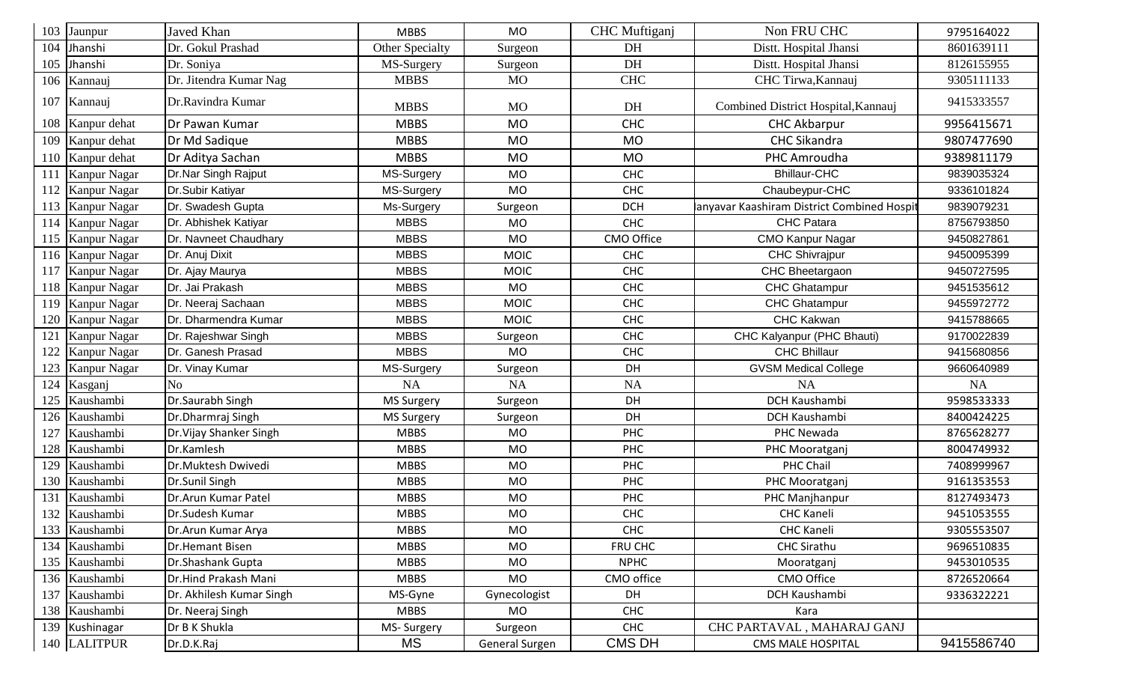| 103 | Jaunpur          | Javed Khan               | <b>MBBS</b>       | <b>MO</b>      | CHC Muftiganj | Non FRU CHC                               | 9795164022 |
|-----|------------------|--------------------------|-------------------|----------------|---------------|-------------------------------------------|------------|
| 104 | Jhanshi          | Dr. Gokul Prashad        | Other Specialty   | Surgeon        | DH            | Distt. Hospital Jhansi                    | 8601639111 |
| 105 | Jhanshi          | Dr. Soniya               | MS-Surgery        | Surgeon        | DH            | Distt. Hospital Jhansi                    | 8126155955 |
| 106 | Kannauj          | Dr. Jitendra Kumar Nag   | <b>MBBS</b>       | <b>MO</b>      | <b>CHC</b>    | CHC Tirwa, Kannauj                        | 9305111133 |
| 107 | Kannauj          | Dr.Ravindra Kumar        | <b>MBBS</b>       | <b>MO</b>      | DH            | Combined District Hospital, Kannauj       | 9415333557 |
|     | 108 Kanpur dehat | Dr Pawan Kumar           | <b>MBBS</b>       | <b>MO</b>      | <b>CHC</b>    | <b>CHC Akbarpur</b>                       | 9956415671 |
|     | 109 Kanpur dehat | Dr Md Sadique            | <b>MBBS</b>       | <b>MO</b>      | <b>MO</b>     | <b>CHC Sikandra</b>                       | 9807477690 |
|     | 110 Kanpur dehat | Dr Aditya Sachan         | <b>MBBS</b>       | <b>MO</b>      | <b>MO</b>     | PHC Amroudha                              | 9389811179 |
| 111 | Kanpur Nagar     | Dr.Nar Singh Rajput      | MS-Surgery        | <b>MO</b>      | CHC           | <b>Bhillaur-CHC</b>                       | 9839035324 |
|     | 112 Kanpur Nagar | Dr.Subir Katiyar         | MS-Surgery        | <b>MO</b>      | <b>CHC</b>    | Chaubeypur-CHC                            | 9336101824 |
|     | 113 Kanpur Nagar | Dr. Swadesh Gupta        | Ms-Surgery        | Surgeon        | <b>DCH</b>    | anyavar Kaashiram District Combined Hospi | 9839079231 |
|     | 114 Kanpur Nagar | Dr. Abhishek Katiyar     | <b>MBBS</b>       | <b>MO</b>      | CHC           | <b>CHC Patara</b>                         | 8756793850 |
| 115 | Kanpur Nagar     | Dr. Navneet Chaudhary    | <b>MBBS</b>       | <b>MO</b>      | CMO Office    | <b>CMO Kanpur Nagar</b>                   | 9450827861 |
|     | 116 Kanpur Nagar | Dr. Anuj Dixit           | <b>MBBS</b>       | <b>MOIC</b>    | <b>CHC</b>    | <b>CHC Shivrajpur</b>                     | 9450095399 |
| 117 | Kanpur Nagar     | Dr. Ajay Maurya          | <b>MBBS</b>       | <b>MOIC</b>    | <b>CHC</b>    | CHC Bheetargaon                           | 9450727595 |
|     | 118 Kanpur Nagar | Dr. Jai Prakash          | <b>MBBS</b>       | <b>MO</b>      | CHC           | CHC Ghatampur                             | 9451535612 |
|     | 119 Kanpur Nagar | Dr. Neeraj Sachaan       | <b>MBBS</b>       | <b>MOIC</b>    | <b>CHC</b>    | <b>CHC Ghatampur</b>                      | 9455972772 |
| 120 | Kanpur Nagar     | Dr. Dharmendra Kumar     | <b>MBBS</b>       | <b>MOIC</b>    | CHC           | <b>CHC Kakwan</b>                         | 9415788665 |
| 121 | Kanpur Nagar     | Dr. Rajeshwar Singh      | <b>MBBS</b>       | Surgeon        | <b>CHC</b>    | CHC Kalyanpur (PHC Bhauti)                | 9170022839 |
| 122 | Kanpur Nagar     | Dr. Ganesh Prasad        | <b>MBBS</b>       | <b>MO</b>      | <b>CHC</b>    | <b>CHC Bhillaur</b>                       | 9415680856 |
| 123 | Kanpur Nagar     | Dr. Vinay Kumar          | MS-Surgery        | Surgeon        | DH            | <b>GVSM Medical College</b>               | 9660640989 |
| 124 | Kasganj          | N <sub>o</sub>           | NA                | <b>NA</b>      | <b>NA</b>     | <b>NA</b>                                 | <b>NA</b>  |
| 125 | Kaushambi        | Dr.Saurabh Singh         | <b>MS Surgery</b> | Surgeon        | DH            | <b>DCH Kaushambi</b>                      | 9598533333 |
| 126 | Kaushambi        | Dr.Dharmraj Singh        | <b>MS Surgery</b> | Surgeon        | DH            | DCH Kaushambi                             | 8400424225 |
| 127 | Kaushambi        | Dr. Vijay Shanker Singh  | <b>MBBS</b>       | <b>MO</b>      | PHC           | PHC Newada                                | 8765628277 |
| 128 | Kaushambi        | Dr.Kamlesh               | <b>MBBS</b>       | <b>MO</b>      | PHC           | PHC Mooratganj                            | 8004749932 |
| 129 | Kaushambi        | Dr.Muktesh Dwivedi       | <b>MBBS</b>       | <b>MO</b>      | PHC           | PHC Chail                                 | 7408999967 |
| 130 | Kaushambi        | Dr.Sunil Singh           | <b>MBBS</b>       | <b>MO</b>      | PHC           | PHC Mooratganj                            | 9161353553 |
| 131 | Kaushambi        | Dr.Arun Kumar Patel      | <b>MBBS</b>       | <b>MO</b>      | <b>PHC</b>    | PHC Manjhanpur                            | 8127493473 |
|     | 132 Kaushambi    | Dr.Sudesh Kumar          | <b>MBBS</b>       | <b>MO</b>      | CHC           | <b>CHC Kaneli</b>                         | 9451053555 |
|     | 133 Kaushambi    | Dr.Arun Kumar Arya       | <b>MBBS</b>       | <b>MO</b>      | <b>CHC</b>    | <b>CHC Kaneli</b>                         | 9305553507 |
|     | 134 Kaushambi    | <b>Dr.Hemant Bisen</b>   | <b>MBBS</b>       | <b>MO</b>      | FRU CHC       | <b>CHC Sirathu</b>                        | 9696510835 |
|     | 135 Kaushambi    | Dr.Shashank Gupta        | <b>MBBS</b>       | <b>MO</b>      | <b>NPHC</b>   | Mooratganj                                | 9453010535 |
|     | 136 Kaushambi    | Dr.Hind Prakash Mani     | <b>MBBS</b>       | MO             | CMO office    | CMO Office                                | 8726520664 |
|     | 137 Kaushambi    | Dr. Akhilesh Kumar Singh | MS-Gyne           | Gynecologist   | DH            | DCH Kaushambi                             | 9336322221 |
|     | 138 Kaushambi    | Dr. Neeraj Singh         | <b>MBBS</b>       | <b>MO</b>      | <b>CHC</b>    | Kara                                      |            |
|     | 139 Kushinagar   | Dr B K Shukla            | MS-Surgery        | Surgeon        | <b>CHC</b>    | CHC PARTAVAL, MAHARAJ GANJ                |            |
|     | 140 LALITPUR     | Dr.D.K.Raj               | MS                | General Surgen | CMS DH        | <b>CMS MALE HOSPITAL</b>                  | 9415586740 |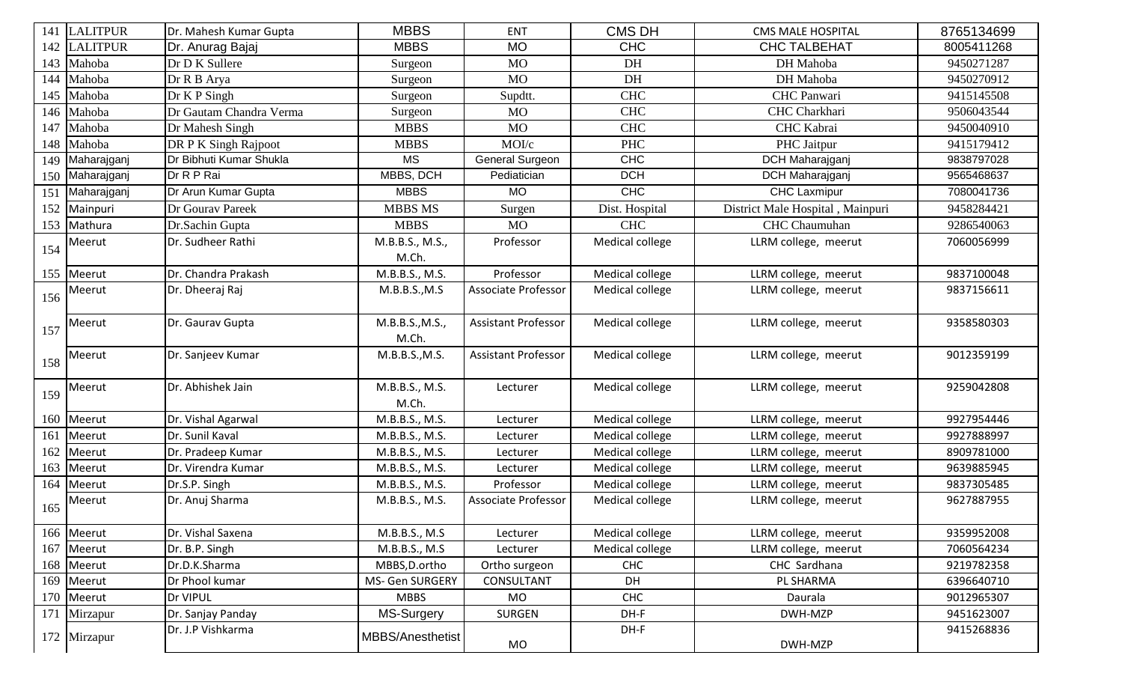|     | 141 LALITPUR    | Dr. Mahesh Kumar Gupta  | <b>MBBS</b>      | <b>ENT</b>                 | <b>CMS DH</b>   | <b>CMS MALE HOSPITAL</b>         | 8765134699 |
|-----|-----------------|-------------------------|------------------|----------------------------|-----------------|----------------------------------|------------|
| 142 | <b>LALITPUR</b> | Dr. Anurag Bajaj        | <b>MBBS</b>      | <b>MO</b>                  | <b>CHC</b>      | <b>CHC TALBEHAT</b>              | 8005411268 |
| 143 | Mahoba          | Dr D K Sullere          | Surgeon          | <b>MO</b>                  | DH              | DH Mahoba                        | 9450271287 |
| 144 | Mahoba          | Dr R B Arya             | Surgeon          | <b>MO</b>                  | DH              | DH Mahoba                        | 9450270912 |
| 145 | Mahoba          | Dr K P Singh            | Surgeon          | Supdtt.                    | <b>CHC</b>      | CHC Panwari                      | 9415145508 |
| 146 | Mahoba          | Dr Gautam Chandra Verma | Surgeon          | <b>MO</b>                  | <b>CHC</b>      | CHC Charkhari                    | 9506043544 |
| 147 | Mahoba          | Dr Mahesh Singh         | <b>MBBS</b>      | <b>MO</b>                  | <b>CHC</b>      | CHC Kabrai                       | 9450040910 |
| 148 | Mahoba          | DR P K Singh Rajpoot    | <b>MBBS</b>      | MOI/c                      | <b>PHC</b>      | PHC Jaitpur                      | 9415179412 |
| 149 | Maharajganj     | Dr Bibhuti Kumar Shukla | <b>MS</b>        | General Surgeon            | <b>CHC</b>      | DCH Maharajganj                  | 9838797028 |
| 150 | Maharajganj     | Dr R P Rai              | MBBS, DCH        | Pediatician                | <b>DCH</b>      | <b>DCH</b> Maharajganj           | 9565468637 |
| 151 | Maharajganj     | Dr Arun Kumar Gupta     | <b>MBBS</b>      | <b>MO</b>                  | <b>CHC</b>      | <b>CHC</b> Laxmipur              | 7080041736 |
| 152 | Mainpuri        | Dr Gourav Pareek        | <b>MBBS MS</b>   | Surgen                     | Dist. Hospital  | District Male Hospital, Mainpuri | 9458284421 |
| 153 | Mathura         | Dr.Sachin Gupta         | <b>MBBS</b>      | <b>MO</b>                  | <b>CHC</b>      | CHC Chaumuhan                    | 9286540063 |
| 154 | Meerut          | Dr. Sudheer Rathi       | M.B.B.S., M.S.,  | Professor                  | Medical college | LLRM college, meerut             | 7060056999 |
|     |                 |                         | M.Ch.            |                            |                 |                                  |            |
|     | 155 Meerut      | Dr. Chandra Prakash     | M.B.B.S., M.S.   | Professor                  | Medical college | LLRM college, meerut             | 9837100048 |
| 156 | Meerut          | Dr. Dheeraj Raj         | M.B.B.S., M.S    | <b>Associate Professor</b> | Medical college | LLRM college, meerut             | 9837156611 |
|     |                 |                         |                  |                            |                 |                                  |            |
| 157 | Meerut          | Dr. Gaurav Gupta        | M.B.B.S., M.S.,  | Assistant Professor        | Medical college | LLRM college, meerut             | 9358580303 |
|     |                 |                         | M.Ch.            |                            |                 |                                  |            |
| 158 | Meerut          | Dr. Sanjeev Kumar       | M.B.B.S., M.S.   | <b>Assistant Professor</b> | Medical college | LLRM college, meerut             | 9012359199 |
|     |                 |                         |                  |                            |                 |                                  |            |
| 159 | Meerut          | Dr. Abhishek Jain       | M.B.B.S., M.S.   | Lecturer                   | Medical college | LLRM college, meerut             | 9259042808 |
|     |                 |                         | M.Ch.            |                            |                 |                                  |            |
|     | 160 Meerut      | Dr. Vishal Agarwal      | M.B.B.S., M.S.   | Lecturer                   | Medical college | LLRM college, meerut             | 9927954446 |
| 161 | Meerut          | Dr. Sunil Kaval         | M.B.B.S., M.S.   | Lecturer                   | Medical college | LLRM college, meerut             | 9927888997 |
| 162 | Meerut          | Dr. Pradeep Kumar       | M.B.B.S., M.S.   | Lecturer                   | Medical college | LLRM college, meerut             | 8909781000 |
| 163 | Meerut          | Dr. Virendra Kumar      | M.B.B.S., M.S.   | Lecturer                   | Medical college | LLRM college, meerut             | 9639885945 |
| 164 | Meerut          | Dr.S.P. Singh           | M.B.B.S., M.S.   | Professor                  | Medical college | LLRM college, meerut             | 9837305485 |
| 165 | Meerut          | Dr. Anuj Sharma         | M.B.B.S., M.S.   | <b>Associate Professor</b> | Medical college | LLRM college, meerut             | 9627887955 |
|     |                 |                         |                  |                            |                 |                                  |            |
|     | 166 Meerut      | Dr. Vishal Saxena       | M.B.B.S., M.S.   | Lecturer                   | Medical college | LLRM college, meerut             | 9359952008 |
|     | 167 Meerut      | Dr. B.P. Singh          | M.B.B.S., M.S.   | Lecturer                   | Medical college | LLRM college, meerut             | 7060564234 |
|     | 168 Meerut      | Dr.D.K.Sharma           | MBBS, D.ortho    | Ortho surgeon              | <b>CHC</b>      | CHC Sardhana                     | 9219782358 |
| 169 | Meerut          | Dr Phool kumar          | MS- Gen SURGERY  | CONSULTANT                 | DH              | PL SHARMA                        | 6396640710 |
|     | 170 Meerut      | Dr VIPUL                | <b>MBBS</b>      | MO                         | CHC             | Daurala                          | 9012965307 |
|     | 171 Mirzapur    | Dr. Sanjay Panday       | MS-Surgery       | <b>SURGEN</b>              | DH-F            | DWH-MZP                          | 9451623007 |
|     | 172 Mirzapur    | Dr. J.P Vishkarma       | MBBS/Anesthetist |                            | DH-F            |                                  | 9415268836 |
|     |                 |                         |                  | MO                         |                 | DWH-MZP                          |            |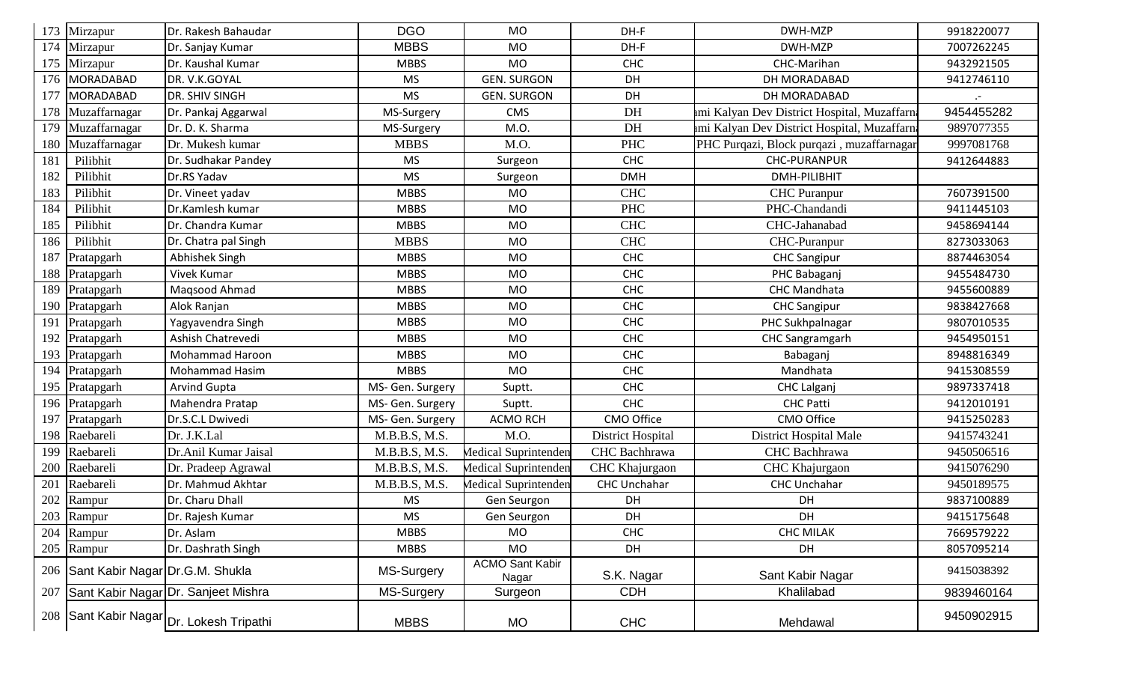| 173 | Mirzapur                            | Dr. Rakesh Bahaudar                      | <b>DGO</b>       | <b>MO</b>                       | DH-F                | DWH-MZP                                      | 9918220077 |
|-----|-------------------------------------|------------------------------------------|------------------|---------------------------------|---------------------|----------------------------------------------|------------|
| 174 | Mirzapur                            | Dr. Sanjay Kumar                         | <b>MBBS</b>      | <b>MO</b>                       | DH-F                | DWH-MZP                                      | 7007262245 |
| 175 | Mirzapur                            | Dr. Kaushal Kumar                        | <b>MBBS</b>      | <b>MO</b>                       | <b>CHC</b>          | CHC-Marihan                                  | 9432921505 |
| 176 | MORADABAD                           | DR. V.K.GOYAL                            | <b>MS</b>        | <b>GEN. SURGON</b>              | <b>DH</b>           | DH MORADABAD                                 | 9412746110 |
| 177 | <b>MORADABAD</b>                    | <b>DR. SHIV SINGH</b>                    | <b>MS</b>        | <b>GEN. SURGON</b>              | DH                  | DH MORADABAD                                 |            |
| 178 | Muzaffarnagar                       | Dr. Pankaj Aggarwal                      | MS-Surgery       | CMS                             | DH                  | mi Kalyan Dev District Hospital, Muzaffarna  | 9454455282 |
| 179 | Muzaffarnagar                       | Dr. D. K. Sharma                         | MS-Surgery       | M.O.                            | DH                  | ami Kalyan Dev District Hospital, Muzaffarna | 9897077355 |
| 180 | Muzaffarnagar                       | Dr. Mukesh kumar                         | <b>MBBS</b>      | M.O.                            | <b>PHC</b>          | PHC Purqazi, Block purqazi, muzaffarnagar    | 9997081768 |
| 181 | Pilibhit                            | Dr. Sudhakar Pandey                      | <b>MS</b>        | Surgeon                         | <b>CHC</b>          | <b>CHC-PURANPUR</b>                          | 9412644883 |
| 182 | Pilibhit                            | Dr.RS Yadav                              | <b>MS</b>        | Surgeon                         | <b>DMH</b>          | DMH-PILIBHIT                                 |            |
| 183 | Pilibhit                            | Dr. Vineet yadav                         | <b>MBBS</b>      | <b>MO</b>                       | <b>CHC</b>          | <b>CHC</b> Puranpur                          | 7607391500 |
| 184 | Pilibhit                            | Dr.Kamlesh kumar                         | <b>MBBS</b>      | <b>MO</b>                       | <b>PHC</b>          | PHC-Chandandi                                | 9411445103 |
| 185 | Pilibhit                            | Dr. Chandra Kumar                        | <b>MBBS</b>      | <b>MO</b>                       | <b>CHC</b>          | CHC-Jahanabad                                | 9458694144 |
| 186 | Pilibhit                            | Dr. Chatra pal Singh                     | <b>MBBS</b>      | <b>MO</b>                       | <b>CHC</b>          | CHC-Puranpur                                 | 8273033063 |
| 187 | Pratapgarh                          | Abhishek Singh                           | <b>MBBS</b>      | <b>MO</b>                       | <b>CHC</b>          | <b>CHC Sangipur</b>                          | 8874463054 |
| 188 | Pratapgarh                          | <b>Vivek Kumar</b>                       | <b>MBBS</b>      | <b>MO</b>                       | <b>CHC</b>          | PHC Babaganj                                 | 9455484730 |
|     | 189 Pratapgarh                      | Magsood Ahmad                            | <b>MBBS</b>      | <b>MO</b>                       | <b>CHC</b>          | CHC Mandhata                                 | 9455600889 |
| 190 | Pratapgarh                          | Alok Ranjan                              | <b>MBBS</b>      | <b>MO</b>                       | <b>CHC</b>          | <b>CHC Sangipur</b>                          | 9838427668 |
|     | 191 Pratapgarh                      | Yagyavendra Singh                        | <b>MBBS</b>      | <b>MO</b>                       | <b>CHC</b>          | PHC Sukhpalnagar                             | 9807010535 |
| 192 | Pratapgarh                          | Ashish Chatrevedi                        | <b>MBBS</b>      | <b>MO</b>                       | <b>CHC</b>          | <b>CHC Sangramgarh</b>                       | 9454950151 |
|     | 193 Pratapgarh                      | <b>Mohammad Haroon</b>                   | <b>MBBS</b>      | <b>MO</b>                       | <b>CHC</b>          | Babaganj                                     | 8948816349 |
| 194 | Pratapgarh                          | <b>Mohammad Hasim</b>                    | <b>MBBS</b>      | <b>MO</b>                       | <b>CHC</b>          | Mandhata                                     | 9415308559 |
|     | 195 Pratapgarh                      | <b>Arvind Gupta</b>                      | MS- Gen. Surgery | Suptt.                          | <b>CHC</b>          | <b>CHC Lalganj</b>                           | 9897337418 |
|     | 196 Pratapgarh                      | Mahendra Pratap                          | MS- Gen. Surgery | Suptt.                          | <b>CHC</b>          | <b>CHC Patti</b>                             | 9412010191 |
| 197 | Pratapgarh                          | Dr.S.C.L Dwivedi                         | MS- Gen. Surgery | <b>ACMO RCH</b>                 | CMO Office          | CMO Office                                   | 9415250283 |
|     | 198 Raebareli                       | Dr. J.K.Lal                              | M.B.B.S, M.S.    | M.O.                            | District Hospital   | District Hospital Male                       | 9415743241 |
| 199 | Raebareli                           | Dr.Anil Kumar Jaisal                     | M.B.B.S, M.S.    | Medical Suprintenden            | CHC Bachhrawa       | CHC Bachhrawa                                | 9450506516 |
| 200 | Raebareli                           | Dr. Pradeep Agrawal                      | M.B.B.S, M.S.    | Medical Suprintenden            | CHC Khajurgaon      | CHC Khajurgaon                               | 9415076290 |
| 201 | Raebareli                           | Dr. Mahmud Akhtar                        | M.B.B.S, M.S.    | Medical Suprintenden            | <b>CHC Unchahar</b> | <b>CHC Unchahar</b>                          | 9450189575 |
| 202 | Rampur                              | Dr. Charu Dhall                          | <b>MS</b>        | Gen Seurgon                     | DH                  | DH                                           | 9837100889 |
|     | 203 Rampur                          | Dr. Rajesh Kumar                         | <b>MS</b>        | Gen Seurgon                     | DH                  | DH                                           | 9415175648 |
| 204 | Rampur                              | Dr. Aslam                                | <b>MBBS</b>      | <b>MO</b>                       | <b>CHC</b>          | <b>CHC MILAK</b>                             | 7669579222 |
|     | 205 Rampur                          | Dr. Dashrath Singh                       | <b>MBBS</b>      | <b>MO</b>                       | DH                  | DH                                           | 8057095214 |
|     | 206 Sant Kabir Nagar Dr.G.M. Shukla |                                          | MS-Surgery       | <b>ACMO Sant Kabir</b><br>Nagar | S.K. Nagar          | Sant Kabir Nagar                             | 9415038392 |
| 207 |                                     | Sant Kabir Nagar Dr. Sanjeet Mishra      | MS-Surgery       | Surgeon                         | <b>CDH</b>          | Khalilabad                                   | 9839460164 |
|     |                                     | 208 Sant Kabir Nagar Dr. Lokesh Tripathi | <b>MBBS</b>      | <b>MO</b>                       | <b>CHC</b>          | Mehdawal                                     | 9450902915 |